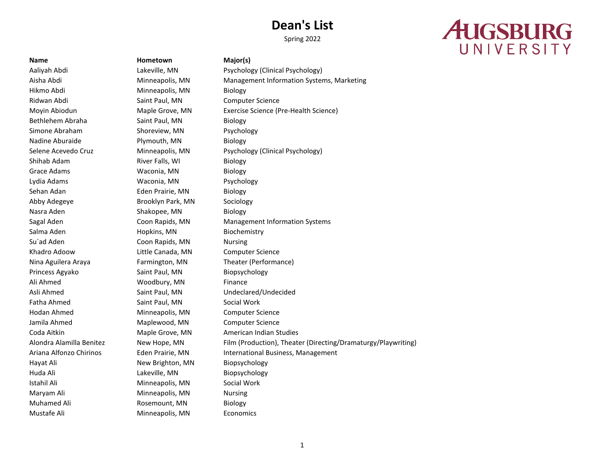Spring 2022

# **AUGSBURG** UNIVERSITY

Hikmo Abdi **Minneapolis, MN** Biology Ridwan Abdi **Saint Paul, MN** Computer Science Bethlehem Abraha Saint Paul, MN Biology Simone Abraham Shoreview, MN Psychology Nadine Aburaide **Plymouth, MN** Biology Shihab Adam **River Falls, WI** Biology Grace Adams **Waconia**, MN Biology Lydia Adams Waconia, MN Psychology Sehan Adan **Eden Prairie, MN** Biology Abby Adegeye **Brooklyn Park, MN** Sociology Nasra Aden Shakopee, MN Biology Salma Aden **Hopkins, MN** Biochemistry Su'ad Aden Coon Rapids, MN Nursing Khadro Adoow **Little Canada, MN** Computer Science Nina Aguilera Araya Farmington, MN Theater (Performance) Princess Agyako Saint Paul, MN Biopsychology Ali Ahmed Woodbury, MN Finance Asli Ahmed Saint Paul, MN Undeclared/Undecided Fatha Ahmed Saint Paul, MN Social Work Hodan Ahmed Minneapolis, MN Computer Science Jamila Ahmed Maplewood, MN Computer Science Hayat Ali **New Brighton, MN** Biopsychology Huda Ali Lakeville, MN Biopsychology Istahil Ali **Minneapolis, MN** Social Work Maryam Ali **Minneapolis**, MN Nursing Muhamed Ali **Rosemount, MN** Biology Mustafe Ali Minneapolis, MN Economics

**Name Hometown Major(s)**

Aaliyah Abdi Lakeville, MN Psychology (Clinical Psychology) Aisha Abdi Minneapolis, MN Management Information Systems, Marketing Moyin Abiodun Maple Grove, MN Exercise Science (Pre-Health Science) Selene Acevedo Cruz Minneapolis, MN Psychology (Clinical Psychology) Sagal Aden Coon Rapids, MN Management Information Systems Coda Aitkin Maple Grove, MN American Indian Studies Alondra Alamilla Benitez New Hope, MN Film (Production), Theater (Directing/Dramaturgy/Playwriting) Ariana Alfonzo Chirinos Eden Prairie, MN International Business, Management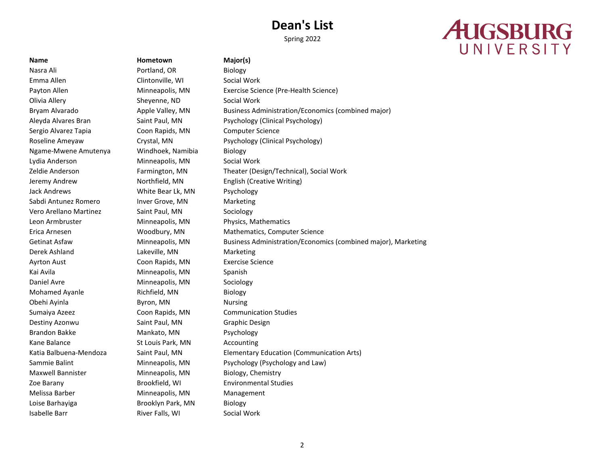Spring 2022

# **AUGSBURG** UNIVERSITY

## **Name Hometown Major(s)**

Nasra Ali **Portland, OR** Biology Emma Allen Clintonville, WI Social Work Olivia Allery Sheyenne, ND Social Work Sergio Alvarez Tapia Coon Rapids, MN Computer Science Ngame-Mwene Amutenya Windhoek, Namibia Biology Lydia Anderson Minneapolis, MN Social Work Jeremy Andrew Northfield, MN English (Creative Writing) Jack Andrews **White Bear Lk, MN** Psychology Sabdi Antunez Romero Inver Grove, MN Marketing Vero Arellano Martinez Saint Paul, MN Sociology Leon Armbruster Minneapolis, MN Physics, Mathematics Derek Ashland Lakeville, MN Marketing Ayrton Aust Coon Rapids, MN Exercise Science Kai Avila **Minneapolis, MN** Spanish Daniel Avre **Minneapolis**, MN Sociology Mohamed Ayanle **Richfield, MN** Biology Obehi Ayinla **Byron**, MN Nursing Sumaiya Azeez Coon Rapids, MN Communication Studies Destiny Azonwu Saint Paul, MN Graphic Design Brandon Bakke Mankato, MN Psychology Kane Balance **St Louis Park, MN** Accounting Maxwell Bannister Minneapolis, MN Biology, Chemistry Zoe Barany Brookfield, WI Environmental Studies Melissa Barber **Minneapolis**, MN Management Loise Barhayiga **Brooklyn Park, MN** Biology Isabelle Barr **River Falls**, WI Social Work

Payton Allen **Minneapolis, MN** Exercise Science (Pre-Health Science) Bryam Alvarado **Apple Valley, MN** Business Administration/Economics (combined major) Aleyda Alvares Bran Saint Paul, MN Psychology (Clinical Psychology) Roseline Ameyaw Crystal, MN Psychology (Clinical Psychology) Zeldie Anderson Farmington, MN Theater (Design/Technical), Social Work Erica Arnesen Woodbury, MN Mathematics, Computer Science Getinat Asfaw Minneapolis, MN Business Administration/Economics (combined major), Marketing Katia Balbuena-Mendoza Saint Paul, MN Elementary Education (Communication Arts) Sammie Balint **Minneapolis, MN** Psychology (Psychology and Law)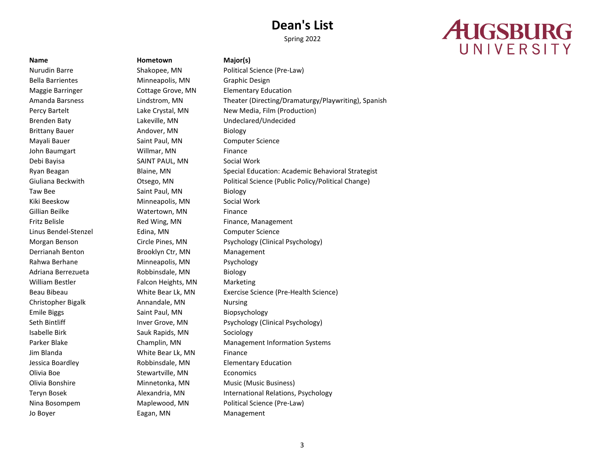Spring 2022

# **AUGSBURG** UNIVERSITY

Jo Boyer **Eagan, MN** Management

**Name Hometown Major(s)** Bella Barrientes **Minneapolis, MN** Graphic Design Brittany Bauer **Andover, MN** Biology Mayali Bauer **Saint Paul, MN** Computer Science John Baumgart Willmar, MN Finance Debi Bayisa SAINT PAUL, MN Social Work Taw Bee Saint Paul, MN Biology Kiki Beeskow **Minneapolis, MN** Social Work Gillian Beilke **Watertown, MN** Finance Linus Bendel-Stenzel Edina, MN Computer Science Derrianah Benton Brooklyn Ctr, MN Management Rahwa Berhane Minneapolis, MN Psychology Adriana Berrezueta Robbinsdale, MN Biology William Bestler Falcon Heights, MN Marketing Christopher Bigalk Annandale, MN Nursing Emile Biggs Saint Paul, MN Biopsychology Isabelle Birk Sauk Rapids, MN Sociology Jim Blanda White Bear Lk, MN Finance Olivia Boe Stewartville, MN Economics

Nurudin Barre Shakopee, MN Political Science (Pre-Law) Maggie Barringer Cottage Grove, MN Elementary Education Amanda Barsness Lindstrom, MN Theater (Directing/Dramaturgy/Playwriting), Spanish Percy Bartelt **Lake Crystal, MN** New Media, Film (Production) Brenden Baty Lakeville, MN Undeclared/Undecided Ryan Beagan Blaine, MN Special Education: Academic Behavioral Strategist Giuliana Beckwith **Otsego, MN** Political Science (Public Policy/Political Change) Fritz Belisle **Red Wing, MN** Finance, Management Morgan Benson Circle Pines, MN Psychology (Clinical Psychology) Beau Bibeau White Bear Lk, MN Exercise Science (Pre-Health Science) Seth Bintliff **Inver Grove, MN** Psychology (Clinical Psychology) Parker Blake Champlin, MN Management Information Systems Jessica Boardley Robbinsdale, MN Elementary Education Olivia Bonshire Minnetonka, MN Music (Music Business) Teryn Bosek **Alexandria, MN** International Relations, Psychology Nina Bosompem Maplewood, MN Political Science (Pre-Law)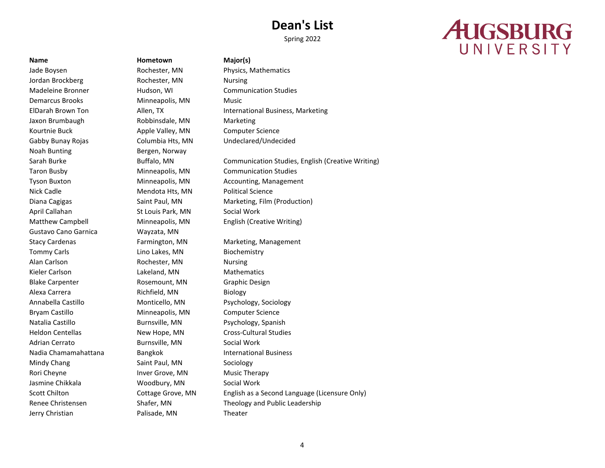Spring 2022

# **AUGSBURG** UNIVERSITY

Jade Boysen **Rochester, MN** Physics, Mathematics Jordan Brockberg **Rochester, MN** Nursing Madeleine Bronner Hudson, WI Communication Studies Demarcus Brooks Minneapolis, MN Music Jaxon Brumbaugh Robbinsdale, MN Marketing Kourtnie Buck **Apple Valley, MN** Computer Science Gabby Bunay Rojas Columbia Hts, MN Undeclared/Undecided Noah Bunting Bergen, Norway Taron Busby Minneapolis, MN Communication Studies Nick Cadle **Mendota Hts, MN** Political Science April Callahan St Louis Park, MN Social Work Gustavo Cano Garnica Wayzata, MN Tommy Carls **Lino Lakes**, MN Biochemistry Alan Carlson **Rochester, MN** Nursing Kieler Carlson **Mathematics** Lakeland, MN Mathematics Blake Carpenter **Rosemount, MN** Graphic Design Alexa Carrera **Richfield, MN** Biology Annabella Castillo Monticello, MN Psychology, Sociology Bryam Castillo Minneapolis, MN Computer Science Natalia Castillo **Burnsville, MN** Psychology, Spanish Heldon Centellas New Hope, MN Cross-Cultural Studies Adrian Cerrato **Burnsville, MN** Social Work Nadia Chamamahattana Bangkok **International Business** Mindy Chang Saint Paul, MN Sociology Rori Cheyne **Inver Grove, MN** Music Therapy Jasmine Chikkala **Woodbury, MN** Social Work Jerry Christian Palisade, MN Theater

**Name Hometown Major(s)**

ElDarah Brown Ton Allen, TX International Business, Marketing

Sarah Burke **Buffalo, MN** Communication Studies, English (Creative Writing) Tyson Buxton Minneapolis, MN Accounting, Management Diana Cagigas Saint Paul, MN Marketing, Film (Production) Matthew Campbell Minneapolis, MN English (Creative Writing) Stacy Cardenas Farmington, MN Marketing, Management Scott Chilton **Cottage Grove, MN** English as a Second Language (Licensure Only) Renee Christensen Shafer, MN Theology and Public Leadership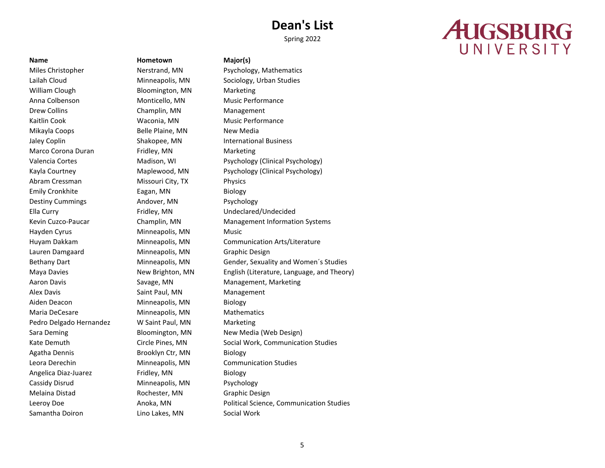Spring 2022

# **AUGSBURG** UNIVERSITY

Miles Christopher Nerstrand, MN Psychology, Mathematics Lailah Cloud Minneapolis, MN Sociology, Urban Studies William Clough Bloomington, MN Marketing Anna Colbenson **Monticello, MN** Music Performance Drew Collins **Champlin, MN** Management Kaitlin Cook **Waconia, MN** Music Performance Mikayla Coops Belle Plaine, MN New Media Jaley Coplin **Shakopee, MN** International Business Marco Corona Duran **Fridley, MN** Marketing Abram Cressman Missouri City, TX Physics Emily Cronkhite **Eagan, MN** Biology Destiny Cummings **Andover, MN** Psychology Ella Curry Fridley, MN Undeclared/Undecided Hayden Cyrus **Minneapolis, MN** Music Lauren Damgaard Minneapolis, MN Graphic Design Aaron Davis **Savage, MN** Management, Marketing Alex Davis **Alex Davis** Saint Paul, MN Management Aiden Deacon Minneapolis, MN Biology Maria DeCesare **Minneapolis**, MN Mathematics Pedro Delgado Hernandez W Saint Paul, MN Marketing Sara Deming **Bloomington, MN** New Media (Web Design) Agatha Dennis **Brooklyn Ctr, MN** Biology Leora Derechin Minneapolis, MN Communication Studies Angelica Diaz-Juarez **Fridley, MN** Biology Cassidy Disrud **Minneapolis, MN** Psychology Melaina Distad **Rochester, MN** Graphic Design Samantha Doiron Lino Lakes, MN Social Work

**Name Hometown Major(s)**

Valencia Cortes Madison, WI Psychology (Clinical Psychology) Kayla Courtney Maplewood, MN Psychology (Clinical Psychology) Kevin Cuzco-Paucar Champlin, MN Management Information Systems Huyam Dakkam Minneapolis, MN Communication Arts/Literature Bethany Dart **Minneapolis, MN** Gender, Sexuality and Women's Studies Maya Davies New Brighton, MN English (Literature, Language, and Theory) Kate Demuth **Circle Pines, MN** Social Work, Communication Studies Leeroy Doe **Anoka, MN** Political Science, Communication Studies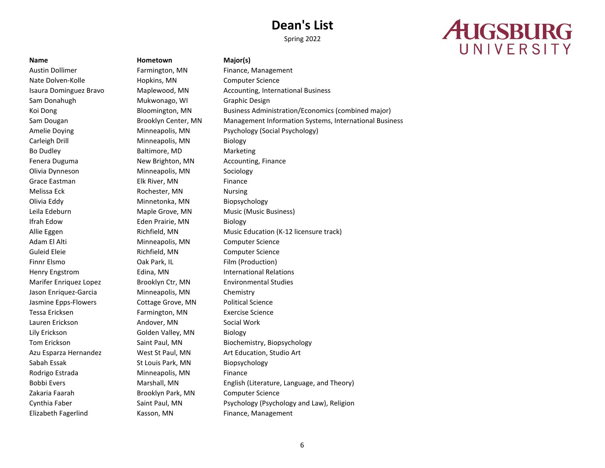Spring 2022

# **AUGSBURG** UNIVERSITY

Austin Dollimer **Farmington, MN** Finance, Management Nate Dolven-Kolle **Hopkins, MN** Computer Science Sam Donahugh Mukwonago, WI Graphic Design Carleigh Drill **Minneapolis**, MN Biology Bo Dudley Baltimore, MD Marketing Fenera Duguma **New Brighton, MN** Accounting, Finance Olivia Dynneson Minneapolis, MN Sociology Grace Eastman Elk River, MN Finance Melissa Eck **Rochester, MN** Nursing Olivia Eddy Minnetonka, MN Biopsychology Leila Edeburn Maple Grove, MN Music (Music Business) Ifrah Edow Eden Prairie, MN Biology Adam El Alti **Minneapolis, MN** Computer Science Guleid Eleie **Richfield, MN** Computer Science Finnr Elsmo **Cak Park, IL Film (Production)** Cak Park, IL Film (Production) Henry Engstrom Edina, MN International Relations Marifer Enriquez Lopez Brooklyn Ctr, MN Environmental Studies Jason Enriquez-Garcia Minneapolis, MN Chemistry Jasmine Epps-Flowers Cottage Grove, MN Political Science Tessa Ericksen Farmington, MN Exercise Science Lauren Erickson Andover, MN Social Work Lily Erickson Golden Valley, MN Biology Azu Esparza Hernandez West St Paul, MN Art Education, Studio Art Sabah Essak St Louis Park, MN Biopsychology Rodrigo Estrada Minneapolis, MN Finance Zakaria Faarah Brooklyn Park, MN Computer Science Elizabeth Fagerlind Kasson, MN Finance, Management

**Name Hometown Major(s)**

Isaura Dominguez Bravo Maplewood, MN Accounting, International Business Koi Dong Bloomington, MN Business Administration/Economics (combined major) Sam Dougan **Brooklyn Center, MN** Management Information Systems, International Business Amelie Doying **Minneapolis, MN** Psychology (Social Psychology) Allie Eggen **Richfield, MN** Music Education (K-12 licensure track) Music Education (K-12 licensure track) Tom Erickson Saint Paul, MN Biochemistry, Biopsychology Bobbi Evers **Marshall, MN** English (Literature, Language, and Theory) Cynthia Faber Saint Paul, MN Psychology (Psychology and Law), Religion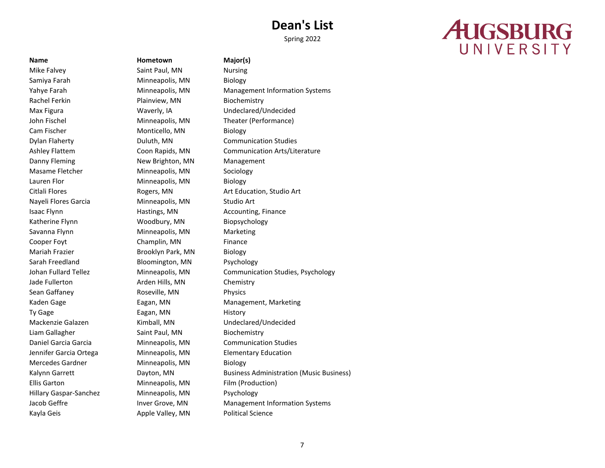Spring 2022

# **AUGSBURG** UNIVERSITY

Samiya Farah Minneapolis, MN Biology Rachel Ferkin Plainview, MN Biochemistry Max Figura Waverly, IA Undeclared/Undecided John Fischel Minneapolis, MN Theater (Performance) Cam Fischer Monticello, MN Biology Danny Fleming The Mew Brighton, MN Management Masame Fletcher Minneapolis, MN Sociology Lauren Flor **Minneapolis, MN** Biology Nayeli Flores Garcia **Minneapolis, MN** Studio Art Isaac Flynn **Hastings, MN** Accounting, Finance Katherine Flynn Woodbury, MN Biopsychology Savanna Flynn Minneapolis, MN Marketing Cooper Foyt Champlin, MN Finance Mariah Frazier **Brooklyn Park, MN** Biology Sarah Freedland Bloomington, MN Psychology Jade Fullerton **Arden Hills, MN** Chemistry Sean Gaffaney **Roseville, MN** Physics Ty Gage Eagan, MN History Mackenzie Galazen Kimball, MN Undeclared/Undecided Liam Gallagher Saint Paul, MN Biochemistry Jennifer Garcia Ortega Minneapolis, MN Elementary Education Mercedes Gardner Minneapolis, MN Biology Ellis Garton Minneapolis, MN Film (Production) Hillary Gaspar-Sanchez Minneapolis, MN Psychology Kayla Geis **Apple Valley, MN** Political Science

**Name Hometown Major(s)** Mike Falvey **Saint Paul, MN** Nursing

Yahye Farah Minneapolis, MN Management Information Systems Dylan Flaherty Duluth, MN Communication Studies Ashley Flattem Coon Rapids, MN Communication Arts/Literature Citlali Flores Rogers, MN Art Education, Studio Art Johan Fullard Tellez Minneapolis, MN Communication Studies, Psychology Kaden Gage **Eagan, MN** Management, Marketing Daniel Garcia Garcia Minneapolis, MN Communication Studies Kalynn Garrett Dayton, MN Business Administration (Music Business) Jacob Geffre **Inver Grove, MN** Management Information Systems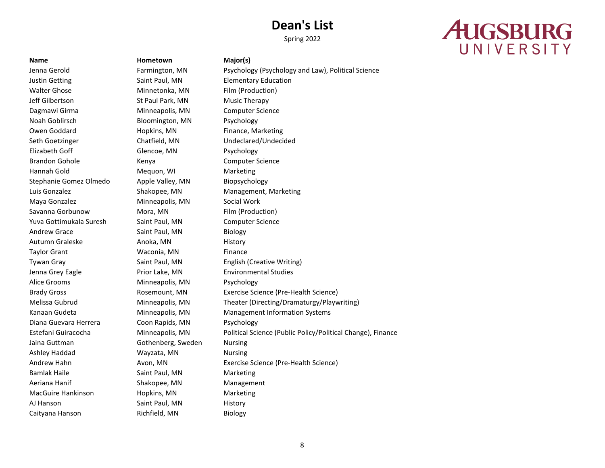Spring 2022

# **AUGSBURG** UNIVERSITY

Justin Getting The Saint Paul, MN Elementary Education Walter Ghose **Minnetonka, MN** Film (Production) Jeff Gilbertson St Paul Park, MN Music Therapy Dagmawi Girma **Minneapolis, MN** Computer Science Noah Goblirsch Bloomington, MN Psychology Owen Goddard **Hopkins, MN** Finance, Marketing Seth Goetzinger Chatfield, MN Undeclared/Undecided Elizabeth Goff Glencoe, MN Psychology Brandon Gohole **Kenya** Kenya Computer Science Hannah Gold Mequon, WI Marketing Stephanie Gomez Olmedo Apple Valley, MN Biopsychology Luis Gonzalez Shakopee, MN Management, Marketing Maya Gonzalez **Minneapolis, MN** Social Work Savanna Gorbunow Mora, MN Film (Production) Yuva Gottimukala Suresh Saint Paul, MN Computer Science Andrew Grace Saint Paul, MN Biology Autumn Graleske **Anoka, MN** History Taylor Grant **Waconia, MN** Finance Tywan Gray Saint Paul, MN English (Creative Writing) Jenna Grey Eagle **Prior Lake, MN** Environmental Studies Alice Grooms Minneapolis, MN Psychology Diana Guevara Herrera Coon Rapids, MN Psychology Jaina Guttman Gothenberg, Sweden Nursing Ashley Haddad Wayzata, MN Nursing Bamlak Haile **Saint Paul, MN** Marketing Aeriana Hanif Shakopee, MN Management MacGuire Hankinson **Hopkins, MN** Marketing AJ Hanson Saint Paul, MN History Caityana Hanson Richfield, MN Biology

**Name Hometown Major(s)**

Jenna Gerold Farmington, MN Psychology (Psychology and Law), Political Science Brady Gross Rosemount, MN Exercise Science (Pre-Health Science) Melissa Gubrud Minneapolis, MN Theater (Directing/Dramaturgy/Playwriting) Kanaan Gudeta Minneapolis, MN Management Information Systems Estefani Guiracocha Minneapolis, MN Political Science (Public Policy/Political Change), Finance Andrew Hahn **Avon, MN** Exercise Science (Pre-Health Science)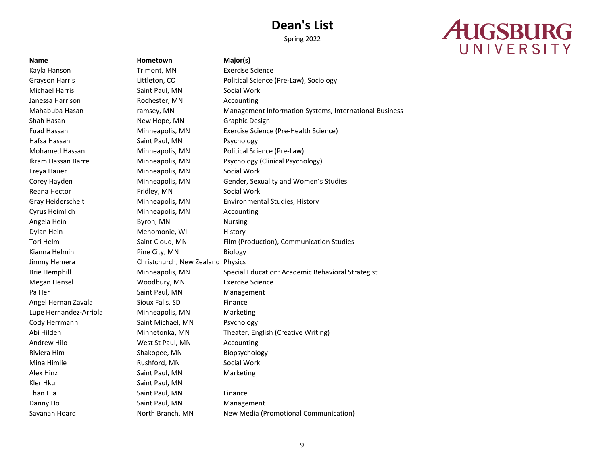# **AUGSBURG** UNIVERSITY

**Name Hometown Major(s)** Kayla Hanson Trimont, MN Exercise Science Grayson Harris **Example 20 Excited Littleton, CO** Political Science (Pre-Law), Sociology Michael Harris Saint Paul, MN Social Work Janessa Harrison **Rochester, MN** Accounting Mahabuba Hasan ramsey, MN Management Information Systems, International Business Shah Hasan New Hope, MN Graphic Design Fuad Hassan Minneapolis, MN Exercise Science (Pre-Health Science) Hafsa Hassan Saint Paul, MN Psychology Mohamed Hassan Minneapolis, MN Political Science (Pre-Law) Ikram Hassan Barre Minneapolis, MN Psychology (Clinical Psychology) Freya Hauer **Minneapolis**, MN Social Work Corey Hayden Minneapolis, MN Gender, Sexuality and Women´s Studies Reana Hector **Fridley, MN** Social Work Gray Heiderscheit Minneapolis, MN Environmental Studies, History Cyrus Heimlich Minneapolis, MN Accounting Angela Hein **Byron**, MN Nursing Dylan Hein Menomonie, WI History Tori Helm Saint Cloud, MN Film (Production), Communication Studies Kianna Helmin **Pine City, MN** Biology Jimmy Hemera Christchurch, New Zealand Physics Brie Hemphill Minneapolis, MN Special Education: Academic Behavioral Strategist Megan Hensel Woodbury, MN Exercise Science Pa Her Saint Paul, MN Management Angel Hernan Zavala Sioux Falls, SD Finance Lupe Hernandez-Arriola Minneapolis, MN Marketing Cody Herrmann Saint Michael, MN Psychology Abi Hilden **Minnetonka, MN** Theater, English (Creative Writing) Andrew Hilo **Mathem Accounting** West St Paul, MN Accounting Riviera Him Shakopee, MN Biopsychology Mina Himlie **Rushford, MN** Social Work Alex Hinz **Saint Paul, MN** Marketing Kler Hku Saint Paul, MN Than Hla **Saint Paul, MN** Finance Danny Ho **Saint Paul, MN** Management Savanah Hoard **North Branch, MN** New Media (Promotional Communication)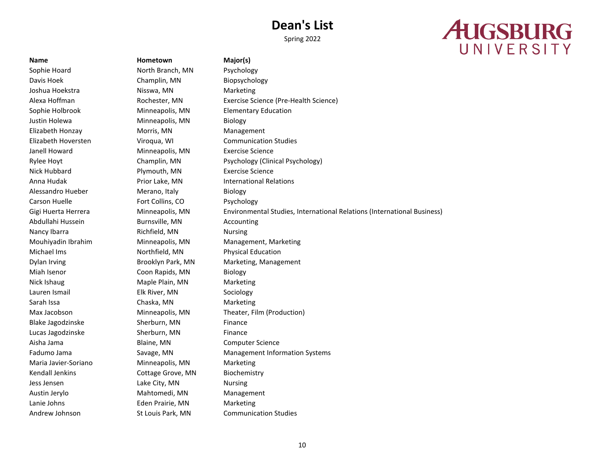Spring 2022

# **AUGSBURG** UNIVERSITY

**Name Hometown Major(s)** Sophie Hoard North Branch, MN Psychology Davis Hoek Champlin, MN Biopsychology Joshua Hoekstra **Nisswa, MN** Marketing Alexa Hoffman Rochester, MN Exercise Science (Pre-Health Science) Sophie Holbrook **Minneapolis, MN** Elementary Education Justin Holewa **Minneapolis**, MN Biology Elizabeth Honzay Morris, MN Management Elizabeth Hoversten Viroqua, WI Communication Studies Janell Howard Minneapolis, MN Exercise Science Rylee Hoyt Champlin, MN Psychology (Clinical Psychology) Nick Hubbard **Plymouth, MN** Exercise Science Anna Hudak Prior Lake, MN International Relations Alessandro Hueber Merano, Italy Biology Carson Huelle **Fort Collins, CO** Psychology Abdullahi Hussein Burnsville, MN Accounting Nancy Ibarra **Richfield, MN** Nursing Mouhiyadin Ibrahim Minneapolis, MN Management, Marketing Michael Ims Northfield, MN Physical Education Dylan Irving Brooklyn Park, MN Marketing, Management Miah Isenor Coon Rapids, MN Biology Nick Ishaug Maple Plain, MN Marketing Lauren Ismail Elk River, MN Sociology Sarah Issa **Chaska, MN** Marketing Max Jacobson Minneapolis, MN Theater, Film (Production) Blake Jagodzinske Sherburn, MN Finance Lucas Jagodzinske Sherburn, MN Finance Aisha Jama Blaine, MN Computer Science Fadumo Jama **Savage, MN** Management Information Systems Maria Javier-Soriano Minneapolis, MN Marketing Kendall Jenkins **Cottage Grove, MN** Biochemistry Jess Jensen Lake City, MN Nursing Austin Jerylo **Mahtomedi, MN** Management Lanie Johns **Eden Prairie, MN** Marketing Andrew Johnson St Louis Park, MN Communication Studies

Gigi Huerta Herrera **Minneapolis, MN** Environmental Studies, International Relations (International Business)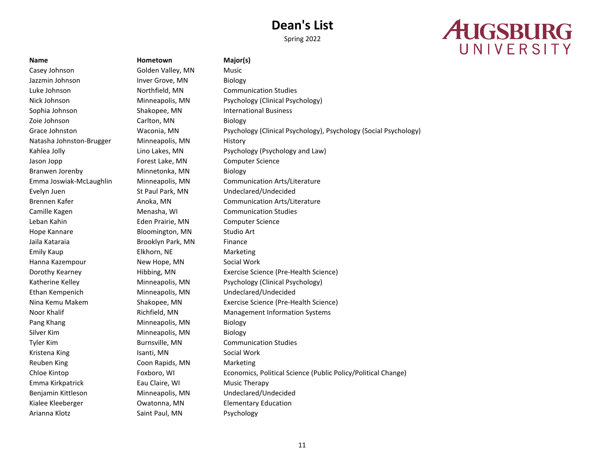Spring 2022

# **AUGSBURG** UNIVERSITY

Casey Johnson Golden Valley, MN Music Jazzmin Johnson **Inver Grove, MN** Biology Zoie Johnson Carlton, MN Biology Natasha Johnston-Brugger Minneapolis, MN History Jason Jopp Forest Lake, MN Computer Science Branwen Jorenby **Minnetonka, MN** Biology Leban Kahin Eden Prairie, MN Computer Science Hope Kannare **Bloomington, MN** Studio Art Jaila Kataraia Brooklyn Park, MN Finance Emily Kaup Elkhorn, NE Marketing Hanna Kazempour **New Hope, MN** Social Work Pang Khang **Minneapolis**, MN Biology Silver Kim Minneapolis, MN Biology Kristena King **Isanti, MN** Social Work Reuben King The Coon Rapids, MN Marketing Emma Kirkpatrick **Eau Claire, WI** Music Therapy Kialee Kleeberger Owatonna, MN Elementary Education Arianna Klotz **Saint Paul, MN** Psychology

**Name Hometown Major(s)**

Luke Johnson Northfield, MN Communication Studies Nick Johnson Minneapolis, MN Psychology (Clinical Psychology) Sophia Johnson Shakopee, MN International Business Grace Johnston Waconia, MN Psychology (Clinical Psychology), Psychology (Social Psychology) Kahlea Jolly **Lino Lakes, MN** Psychology (Psychology and Law) Emma Joswiak-McLaughlin Minneapolis, MN Communication Arts/Literature Evelyn Juen St Paul Park, MN Undeclared/Undecided Brennen Kafer **Anoka, MN** Communication Arts/Literature Camille Kagen Menasha, WI Communication Studies Dorothy Kearney Hibbing, MN Exercise Science (Pre-Health Science) Katherine Kelley **Minneapolis, MN** Psychology (Clinical Psychology) Ethan Kempenich Minneapolis, MN Undeclared/Undecided Nina Kemu Makem Shakopee, MN Exercise Science (Pre-Health Science) Noor Khalif **Noor Khalif** Richfield, MN Management Information Systems Tyler Kim Burnsville, MN Communication Studies Chloe Kintop Foxboro, WI Economics, Political Science (Public Policy/Political Change) Benjamin Kittleson Minneapolis, MN Undeclared/Undecided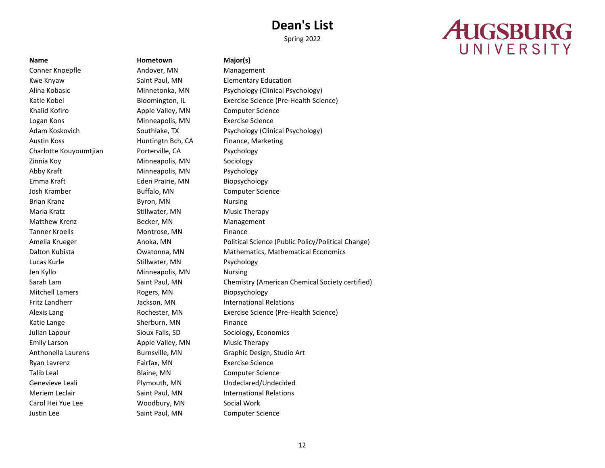Spring 2022

# **AUGSBURG** UNIVERSITY

Conner Knoepfle **Andover, MN** Management Kwe Knyaw Saint Paul, MN Elementary Education Khalid Kofiro **Apple Valley, MN** Computer Science Logan Kons **Minneapolis, MN** Exercise Science Austin Koss **Huntingth Bch, CA** Finance, Marketing Charlotte Kouyoumtjian Porterville, CA Psychology Zinnia Koy **Minneapolis**, MN Sociology Abby Kraft Minneapolis, MN Psychology Emma Kraft Eden Prairie, MN Biopsychology Josh Kramber Buffalo, MN Computer Science Brian Kranz **Byron**, MN Nursing Maria Kratz **Music Therapy** Stillwater, MN Music Therapy Matthew Krenz **Becker, MN** Management Tanner Kroells **Montrose**, MN Finance Lucas Kurle **Stillwater**, MN Psychology Jen Kyllo **Minneapolis, MN** Nursing Mitchell Lamers **Rogers, MN** Biopsychology Katie Lange Sherburn, MN Finance Julian Lapour Sioux Falls, SD Sociology, Economics Emily Larson **Apple Valley, MN** Music Therapy Ryan Lavrenz Fairfax, MN Exercise Science Talib Leal **Blaine, MN** Computer Science Carol Hei Yue Lee Woodbury, MN Social Work Justin Lee **Saint Paul, MN** Computer Science

**Name Hometown Major(s)**

Alina Kobasic **Minnetonka**, MN Psychology (Clinical Psychology) Katie Kobel **Bloomington, IL** Exercise Science (Pre-Health Science) **Bloomington**, IL Adam Koskovich Southlake, TX Psychology (Clinical Psychology) Amelia Krueger **Anoka, MN** Political Science (Public Policy/Political Change) Dalton Kubista Owatonna, MN Mathematics, Mathematical Economics Sarah Lam Saint Paul, MN Chemistry (American Chemical Society certified) Fritz Landherr Jackson, MN International Relations Alexis Lang Rochester, MN Exercise Science (Pre-Health Science) Anthonella Laurens Burnsville, MN Graphic Design, Studio Art Genevieve Leali Plymouth, MN Undeclared/Undecided Meriem Leclair **Saint Paul, MN** International Relations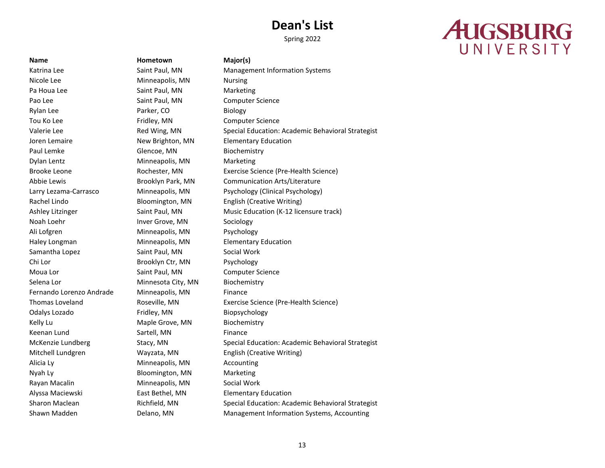Spring 2022

# **AUGSBURG** UNIVERSITY

**Name Hometown Major(s)** Nicole Lee **Minneapolis, MN** Nursing Pa Houa Lee Saint Paul, MN Marketing Pao Lee Saint Paul, MN Computer Science Rylan Lee **Parker, CO** Biology Tou Ko Lee **Fridley, MN** Computer Science Joren Lemaire **New Brighton, MN** Elementary Education Paul Lemke Glencoe, MN Biochemistry Dylan Lentz Minneapolis, MN Marketing Rachel Lindo Bloomington, MN English (Creative Writing) Noah Loehr **Inver Grove, MN** Sociology Ali Lofgren Minneapolis, MN Psychology Haley Longman Minneapolis, MN Elementary Education Samantha Lopez Saint Paul, MN Social Work Chi Lor Brooklyn Ctr, MN Psychology Moua Lor **Saint Paul, MN** Computer Science Selena Lor **Minnesota City, MN** Biochemistry Fernando Lorenzo Andrade Minneapolis, MN Finance Odalys Lozado Fridley, MN Biopsychology Kelly Lu **Maple Grove, MN** Biochemistry Keenan Lund Sartell, MN Finance Mitchell Lundgren Wayzata, MN English (Creative Writing) Alicia Ly Minneapolis, MN Accounting Nyah Ly Bloomington, MN Marketing Rayan Macalin Minneapolis, MN Social Work Alyssa Maciewski East Bethel, MN Elementary Education

Katrina Lee **Saint Paul, MN** Management Information Systems Valerie Lee **Red Wing, MN** Special Education: Academic Behavioral Strategist Brooke Leone Rochester, MN Exercise Science (Pre-Health Science) Abbie Lewis Brooklyn Park, MN Communication Arts/Literature Larry Lezama-Carrasco Minneapolis, MN Psychology (Clinical Psychology) Ashley Litzinger Saint Paul, MN Music Education (K-12 licensure track) Thomas Loveland Roseville, MN Exercise Science (Pre-Health Science) McKenzie Lundberg Stacy, MN Special Education: Academic Behavioral Strategist Sharon Maclean **Richfield, MN** Special Education: Academic Behavioral Strategist Shawn Madden **Delano, MN** Management Information Systems, Accounting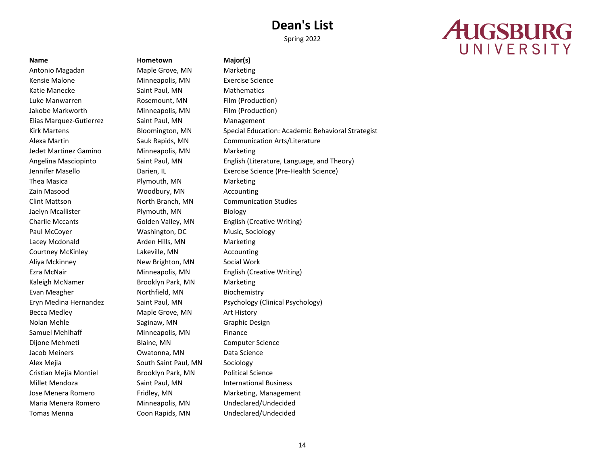# **AUGSBURG** UNIVERSITY

Kensie Malone Minneapolis, MN Exercise Science Katie Manecke **Saint Paul, MN** Mathematics Mathematics Luke Manwarren Rosemount, MN Film (Production) Jakobe Markworth Minneapolis, MN Film (Production) Elias Marquez-Gutierrez Saint Paul, MN Management Jedet Martinez Gamino Minneapolis, MN Marketing Thea Masica **Plymouth, MN** Marketing Zain Masood **Woodbury, MN** Accounting Clint Mattson North Branch, MN Communication Studies Jaelyn Mcallister **Plymouth, MN** Biology Charlie Mccants Golden Valley, MN English (Creative Writing) Paul McCoyer Washington, DC Music, Sociology Lacey Mcdonald **Arden Hills, MN** Marketing Courtney McKinley Lakeville, MN Accounting Aliya Mckinney **New Brighton, MN** Social Work Ezra McNair Minneapolis, MN English (Creative Writing) Kaleigh McNamer **Brooklyn Park, MN** Marketing Evan Meagher **Northfield**, MN Biochemistry Becca Medley **Maple Grove, MN** Art History Nolan Mehle Saginaw, MN Graphic Design Samuel Mehlhaff Minneapolis, MN Finance Dijone Mehmeti Blaine, MN Computer Science Jacob Meiners Owatonna, MN Data Science Alex Mejia **South Saint Paul, MN** Sociology Cristian Mejia Montiel Brooklyn Park, MN Political Science Millet Mendoza Saint Paul, MN International Business Jose Menera Romero Fridley, MN Marketing, Management Maria Menera Romero Minneapolis, MN Undeclared/Undecided Tomas Menna Coon Rapids, MN Undeclared/Undecided

**Name Hometown Major(s)** Antonio Magadan Maple Grove, MN Marketing

Kirk Martens The Bloomington, MN Special Education: Academic Behavioral Strategist Alexa Martin Sauk Rapids, MN Communication Arts/Literature Angelina Masciopinto Saint Paul, MN English (Literature, Language, and Theory) Jennifer Masello Darien, IL Exercise Science (Pre-Health Science) Eryn Medina Hernandez Saint Paul, MN Psychology (Clinical Psychology)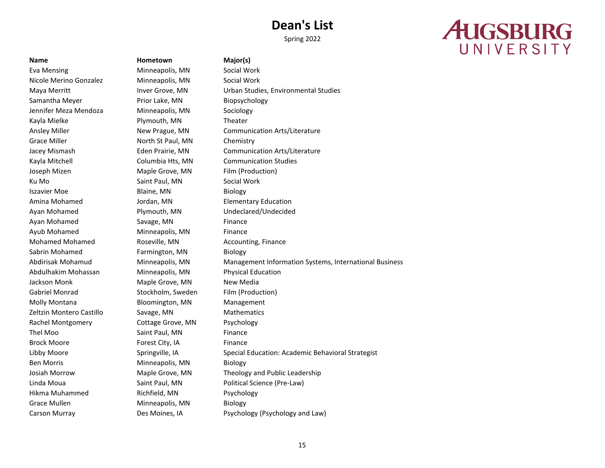Spring 2022

# **AUGSBURG** UNIVERSITY

Eva Mensing The Minneapolis, MN Social Work Nicole Merino Gonzalez Minneapolis, MN Social Work Samantha Meyer **Prior Lake, MN** Biopsychology Jennifer Meza Mendoza Minneapolis, MN Sociology Kayla Mielke **Plymouth, MN** Theater Grace Miller **North St Paul, MN** Chemistry Kayla Mitchell Columbia Hts, MN Communication Studies Joseph Mizen Maple Grove, MN Film (Production) Ku Mo **Saint Paul, MN** Social Work Iszavier Moe **Blaine**, MN Biology Amina Mohamed Jordan, MN Elementary Education Ayan Mohamed Plymouth, MN Undeclared/Undecided Ayan Mohamed Savage, MN Finance Ayub Mohamed Minneapolis, MN Finance Mohamed Mohamed **Roseville, MN** Accounting, Finance Sabrin Mohamed **Farmington, MN** Biology Abdulhakim Mohassan Minneapolis, MN Physical Education Jackson Monk Maple Grove, MN New Media Gabriel Monrad Stockholm, Sweden Film (Production) Molly Montana **Bloomington, MN** Management Zeltzin Montero Castillo Savage, MN Mathematics Rachel Montgomery Cottage Grove, MN Psychology Thel Moo Saint Paul, MN Finance Brock Moore **Forest City, IA** Finance Ben Morris **Minneapolis**, MN Biology Hikma Muhammed Richfield, MN Psychology Grace Mullen Minneapolis, MN Biology

# **Name Hometown Major(s)**

Maya Merritt **Inver Grove, MN** Urban Studies, Environmental Studies Ansley Miller **New Prague, MN** Communication Arts/Literature Jacey Mismash Eden Prairie, MN Communication Arts/Literature Abdirisak Mohamud Minneapolis, MN Management Information Systems, International Business Libby Moore Springville, IA Special Education: Academic Behavioral Strategist Josiah Morrow Maple Grove, MN Theology and Public Leadership Linda Moua Saint Paul, MN Political Science (Pre-Law) Carson Murray Des Moines, IA Psychology (Psychology and Law)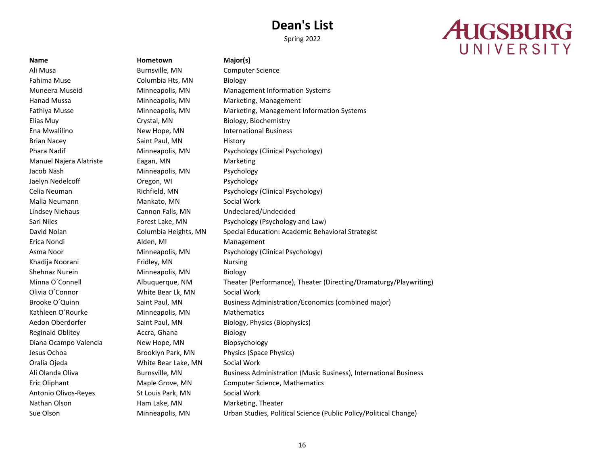Spring 2022

# **AUGSBURG** UNIVERSITY

Ali Musa Burnsville, MN Computer Science Fahima Muse Columbia Hts, MN Biology Brian Nacey Saint Paul, MN History Manuel Najera Alatriste Eagan, MN Marketing Jacob Nash Minneapolis, MN Psychology Jaelyn Nedelcoff Oregon, WI Psychology Malia Neumann Mankato, MN Social Work Erica Nondi **Alden, MI** Management Khadija Noorani **Fridley, MN** Nursing Shehnaz Nurein **Minneapolis**, MN Biology Olivia O´Connor White Bear Lk, MN Social Work Kathleen O'Rourke Minneapolis, MN Mathematics Reginald Oblitey **Accra**, Ghana Biology Diana Ocampo Valencia New Hope, MN Biopsychology Oralia Ojeda White Bear Lake, MN Social Work Antonio Olivos-Reyes St Louis Park, MN Social Work Nathan Olson **Ham Lake, MN** Marketing, Theater

## **Name Hometown Major(s)**

Muneera Museid Minneapolis, MN Management Information Systems Hanad Mussa Minneapolis, MN Marketing, Management Fathiya Musse The Minneapolis, MN Marketing, Management Information Systems Elias Muy Crystal, MN Biology, Biochemistry Ena Mwalilino New Hope, MN International Business Phara Nadif Minneapolis, MN Psychology (Clinical Psychology) Celia Neuman Richfield, MN Psychology (Clinical Psychology) Lindsey Niehaus Cannon Falls, MN Undeclared/Undecided Sari Niles Forest Lake, MN Psychology (Psychology and Law) David Nolan Columbia Heights, MN Special Education: Academic Behavioral Strategist Asma Noor Minneapolis, MN Psychology (Clinical Psychology) Minna O´Connell Albuquerque, NM Theater (Performance), Theater (Directing/Dramaturgy/Playwriting) Brooke O'Quinn Saint Paul, MN Business Administration/Economics (combined major) Aedon Oberdorfer Saint Paul, MN Biology, Physics (Biophysics) Jesus Ochoa Brooklyn Park, MN Physics (Space Physics) Ali Olanda Oliva Burnsville, MN Business Administration (Music Business), International Business Eric Oliphant Maple Grove, MN Computer Science, Mathematics Sue Olson Minneapolis, MN Urban Studies, Political Science (Public Policy/Political Change)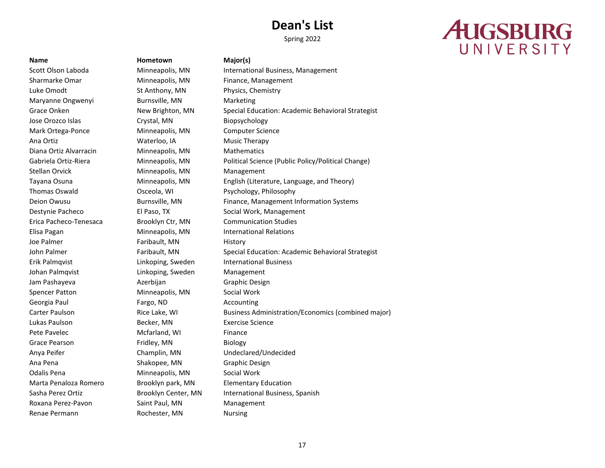Spring 2022

# **AUGSBURG** UNIVERSITY

Sharmarke Omar **Minneapolis, MN** Finance, Management Luke Omodt St Anthony, MN Physics, Chemistry Maryanne Ongwenyi Burnsville, MN Marketing Jose Orozco Islas Crystal, MN Biopsychology Mark Ortega-Ponce Minneapolis, MN Computer Science Ana Ortiz **Music Therapy** Waterloo, IA **Music Therapy** Diana Ortiz Alvarracin Minneapolis, MN Mathematics Stellan Orvick **Minneapolis**, MN Management Thomas Oswald Osceola, WI Psychology, Philosophy Erica Pacheco-Tenesaca Brooklyn Ctr, MN Communication Studies Elisa Pagan Minneapolis, MN International Relations Joe Palmer **Faribault**, MN History Erik Palmqvist Linkoping, Sweden International Business Johan Palmqvist Linkoping, Sweden Management Jam Pashayeva **Azerbijan** Azerbijan Graphic Design Spencer Patton Minneapolis, MN Social Work Georgia Paul **Fargo, ND Accounting** Lukas Paulson Becker, MN Exercise Science Pete Pavelec **Mcfarland**, WI Finance Grace Pearson **Fridley, MN** Biology Anya Peifer Champlin, MN Undeclared/Undecided Ana Pena Shakopee, MN Graphic Design Odalis Pena Minneapolis, MN Social Work Marta Penaloza Romero Brooklyn park, MN Elementary Education Roxana Perez-Pavon Saint Paul, MN Management Renae Permann **Rochester, MN** Nursing

**Name Hometown Major(s)**

Scott Olson Laboda **Minneapolis, MN** International Business, Management Grace Onken New Brighton, MN Special Education: Academic Behavioral Strategist Gabriela Ortiz-Riera Minneapolis, MN Political Science (Public Policy/Political Change) Tayana Osuna Minneapolis, MN English (Literature, Language, and Theory) Deion Owusu **Burnsville, MN** Finance, Management Information Systems Destynie Pacheco El Paso, TX Social Work, Management John Palmer Faribault, MN Special Education: Academic Behavioral Strategist Carter Paulson **Rice Lake, WI** Business Administration/Economics (combined major) Sasha Perez Ortiz **Brooklyn Center, MN** International Business, Spanish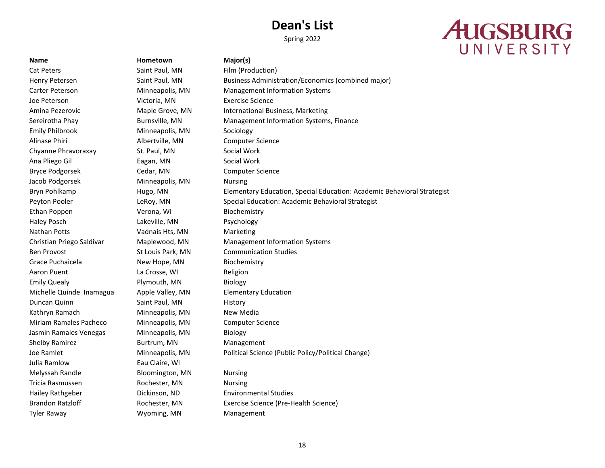Spring 2022

# **AUGSBURG** UNIVERSITY

## **Name Hometown Major(s)**

Cat Peters **Saint Paul, MN** Film (Production) Joe Peterson Victoria, MN Exercise Science Emily Philbrook Minneapolis, MN Sociology Alinase Phiri Albertville, MN Computer Science Chyanne Phravoraxay St. Paul, MN Social Work Ana Pliego Gil **Eagan**, MN Social Work Bryce Podgorsek Cedar, MN Computer Science Jacob Podgorsek Minneapolis, MN Nursing Ethan Poppen Verona, WI Biochemistry Haley Posch Lakeville, MN Psychology Nathan Potts **Vadnais Hts, MN** Marketing Ben Provost St Louis Park, MN Communication Studies Grace Puchaicela **New Hope, MN** Biochemistry Aaron Puent La Crosse, WI Religion Emily Quealy **Plymouth, MN** Biology Michelle Quinde Inamagua Apple Valley, MN Elementary Education Duncan Quinn Saint Paul, MN History Kathryn Ramach Minneapolis, MN New Media Miriam Ramales Pacheco Minneapolis, MN Computer Science Jasmin Ramales Venegas Minneapolis, MN Biology Shelby Ramirez **Burtrum, MN** Management Julia Ramlow Eau Claire, WI Melyssah Randle Bloomington, MN Nursing Tricia Rasmussen **Rochester, MN** Nursing Hailey Rathgeber Dickinson, ND Environmental Studies Tyler Raway **Management** Wyoming, MN Management

Henry Petersen Saint Paul, MN Business Administration/Economics (combined major) Carter Peterson Minneapolis, MN Management Information Systems Amina Pezerovic **Maple Grove, MN** International Business, Marketing Sereirotha Phay **Burnsville, MN** Management Information Systems, Finance Bryn Pohlkamp Hugo, MN Elementary Education, Special Education: Academic Behavioral Strategist Peyton Pooler LeRoy, MN Special Education: Academic Behavioral Strategist Christian Priego Saldivar Maplewood, MN Management Information Systems Joe Ramlet **Minneapolis, MN** Political Science (Public Policy/Political Change) Brandon Ratzloff **Rochester, MN** Exercise Science (Pre-Health Science)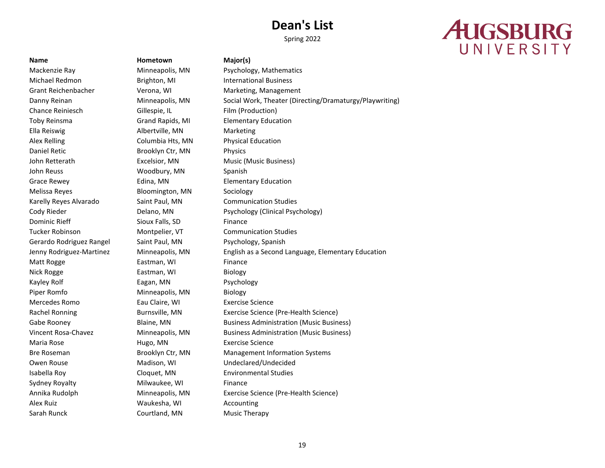Spring 2022

# **AUGSBURG** UNIVERSITY

Michael Redmon **Brighton, MI** International Business Chance Reiniesch Gillespie, IL Film (Production) Toby Reinsma Grand Rapids, MI Elementary Education Ella Reiswig **Albertville, MN** Marketing Alex Relling Columbia Hts, MN Physical Education Daniel Retic **Brooklyn Ctr, MN** Physics John Retterath **Excelsior, MN** Music (Music Business) John Reuss **Woodbury, MN** Spanish Grace Rewey **Edina**, MN **Elementary Education** Melissa Reyes **Bloomington, MN** Sociology Dominic Rieff Sioux Falls, SD Finance Gerardo Rodriguez Rangel Saint Paul, MN Psychology, Spanish Matt Rogge **Eastman, WI** Finance Nick Rogge **Eastman, WI** Biology Kayley Rolf **Eagan, MN** Psychology Piper Romfo Minneapolis, MN Biology Mercedes Romo Eau Claire, WI Exercise Science Maria Rose **Maria Rose** Hugo, MN Exercise Science Owen Rouse **Madison, WI** Undeclared/Undecided Isabella Roy Cloquet, MN Environmental Studies Sydney Royalty **Milwaukee**, WI Finance Alex Ruiz Waukesha, WI Accounting Sarah Runck Courtland, MN Music Therapy

**Name Hometown Major(s)**

Mackenzie Ray Minneapolis, MN Psychology, Mathematics Grant Reichenbacher **Verona, WI Marketing, Management** Danny Reinan Minneapolis, MN Social Work, Theater (Directing/Dramaturgy/Playwriting) Karelly Reyes Alvarado Saint Paul, MN Communication Studies Cody Rieder **Delano, MN** Psychology (Clinical Psychology) Tucker Robinson Montpelier, VT Communication Studies Jenny Rodriguez-Martinez Minneapolis, MN English as a Second Language, Elementary Education Rachel Ronning **Burnsville, MN** Exercise Science (Pre-Health Science) Gabe Rooney **Blaine, MN** Business Administration (Music Business) Vincent Rosa-Chavez Minneapolis, MN Business Administration (Music Business) Bre Roseman Brooklyn Ctr, MN Management Information Systems Annika Rudolph Minneapolis, MN Exercise Science (Pre-Health Science)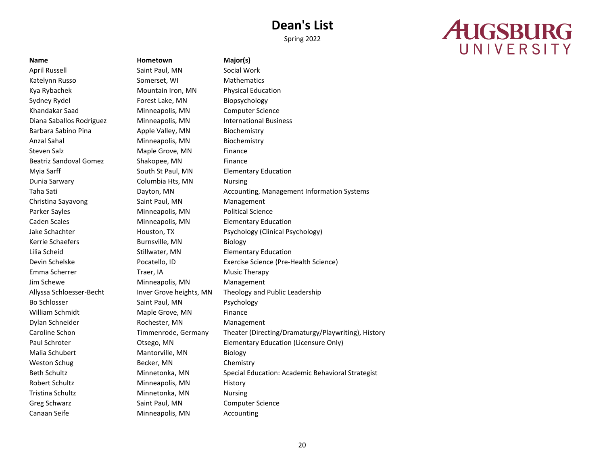Spring 2022

# **AUGSBURG** UNIVERSITY

April Russell Saint Paul, MN Social Work Katelynn Russo Somerset, WI Mathematics Kya Rybachek Mountain Iron, MN Physical Education Sydney Rydel **Forest Lake, MN** Biopsychology Khandakar Saad Minneapolis, MN Computer Science Diana Saballos Rodriguez Minneapolis, MN International Business Barbara Sabino Pina **Apple Valley, MN** Biochemistry Anzal Sahal **Minneapolis**, MN Biochemistry Steven Salz **Maple Grove, MN** Finance Beatriz Sandoval Gomez Shakopee, MN Finance Myia Sarff South St Paul, MN Elementary Education Dunia Sarwary **Columbia Hts, MN** Nursing Christina Sayavong Saint Paul, MN Management Parker Sayles **Minneapolis, MN** Political Science Caden Scales Minneapolis, MN Elementary Education Kerrie Schaefers **Burnsville, MN** Biology Lilia Scheid Stillwater, MN Elementary Education Emma Scherrer Traer, IA Channel Music Therapy Jim Schewe **Minneapolis**, MN Management Bo Schlosser Saint Paul, MN Psychology William Schmidt Maple Grove, MN Finance Dylan Schneider Rochester, MN Management Malia Schubert Mantorville, MN Biology Weston Schug Becker, MN Chemistry Robert Schultz Minneapolis, MN History Tristina Schultz **Minnetonka**, MN Nursing Greg Schwarz **Saint Paul, MN** Computer Science Canaan Seife Minneapolis, MN Accounting

**Name Hometown Major(s)**

Taha Sati **Dayton, MN** Accounting, Management Information Systems Jake Schachter Houston, TX Psychology (Clinical Psychology) Devin Schelske Pocatello, ID Exercise Science (Pre-Health Science) Allyssa Schloesser-Becht Inver Grove heights, MN Theology and Public Leadership Caroline Schon Timmenrode, Germany Theater (Directing/Dramaturgy/Playwriting), History Paul Schroter **Constructs** Otsego, MN Elementary Education (Licensure Only) Beth Schultz **Minnetonka, MN** Special Education: Academic Behavioral Strategist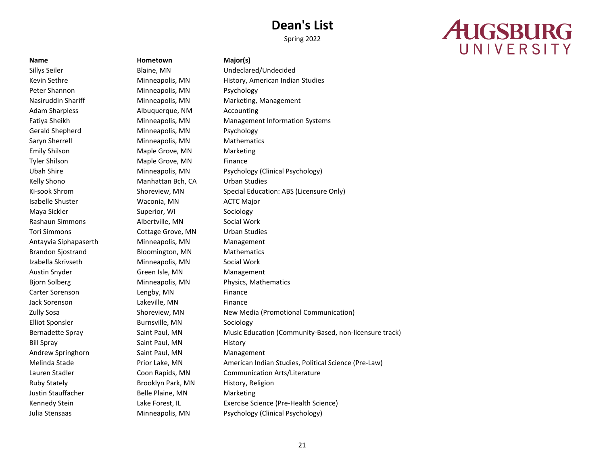Spring 2022

# **AUGSBURG** UNIVERSITY

**Name Hometown Major(s)**

Sillys Seiler Blaine, MN Undeclared/Undecided Peter Shannon Minneapolis, MN Psychology Nasiruddin Shariff Minneapolis, MN Marketing, Management Adam Sharpless **Albuquerque, NM** Accounting Gerald Shepherd Minneapolis, MN Psychology Saryn Sherrell **Minneapolis**, MN Mathematics Emily Shilson Maple Grove, MN Marketing Tyler Shilson **Maple Grove, MN** Finance Kelly Shono **Manhattan Bch, CA** Urban Studies Isabelle Shuster Waconia, MN ACTC Major Maya Sickler Superior, WI Sociology Rashaun Simmons **Albertville, MN** Social Work Tori Simmons Cottage Grove, MN Urban Studies Antayvia Siphapaserth Minneapolis, MN Management Brandon Sjostrand Bloomington, MN Mathematics Izabella Skrivseth Minneapolis, MN Social Work Austin Snyder Green Isle, MN Management Bjorn Solberg **Minneapolis, MN** Physics, Mathematics Carter Sorenson Lengby, MN Finance Jack Sorenson Lakeville, MN Finance Elliot Sponsler **Burnsville, MN** Sociology Bill Spray Saint Paul, MN History Andrew Springhorn Saint Paul, MN Management Ruby Stately **Brooklyn Park, MN** History, Religion Justin Stauffacher **Belle Plaine, MN** Marketing

Kevin Sethre **Minneapolis, MN** History, American Indian Studies Fatiya Sheikh **Minneapolis, MN** Management Information Systems Ubah Shire Minneapolis, MN Psychology (Clinical Psychology) Ki-sook Shrom Shoreview, MN Special Education: ABS (Licensure Only) Zully Sosa Shoreview, MN New Media (Promotional Communication) Bernadette Spray Saint Paul, MN Music Education (Community-Based, non-licensure track) Melinda Stade **Prior Lake, MN** American Indian Studies, Political Science (Pre-Law) Lauren Stadler Coon Rapids, MN Communication Arts/Literature Kennedy Stein **Lake Forest, IL** Exercise Science (Pre-Health Science) Julia Stensaas Minneapolis, MN Psychology (Clinical Psychology)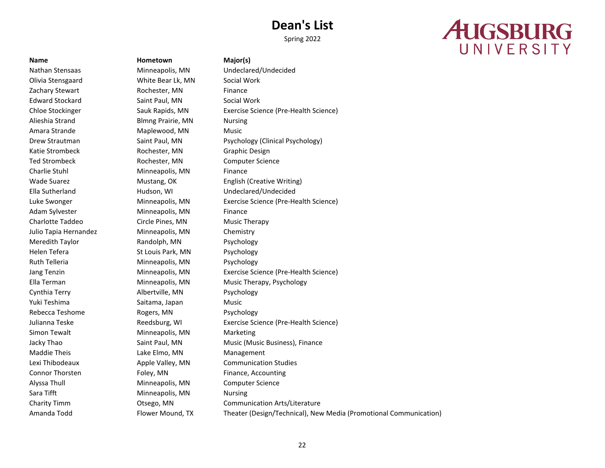Spring 2022

# **AUGSBURG** UNIVERSITY

**Name Hometown Major(s)** Olivia Stensgaard White Bear Lk, MN Social Work Zachary Stewart **Rochester, MN** Finance Edward Stockard Saint Paul, MN Social Work Alieshia Strand Blmng Prairie, MN Nursing Amara Strande Maplewood, MN Music Katie Strombeck **Rochester, MN** Graphic Design Ted Strombeck **Rochester, MN** Computer Science Charlie Stuhl Minneapolis, MN Finance Adam Sylvester Minneapolis, MN Finance Charlotte Taddeo Circle Pines, MN Music Therapy Julio Tapia Hernandez Minneapolis, MN Chemistry Meredith Taylor **Randolph, MN** Psychology Helen Tefera St Louis Park, MN Psychology Ruth Telleria **Minneapolis**, MN Psychology Cynthia Terry **Albertville, MN** Psychology Yuki Teshima Saitama, Japan Music Rebecca Teshome **Rogers, MN** Psychology Simon Tewalt **Minneapolis**, MN Marketing Maddie Theis **Lake Elmo, MN** Management Connor Thorsten Foley, MN Finance, Accounting Alyssa Thull Minneapolis, MN Computer Science Sara Tifft **Minneapolis**, MN Nursing

Nathan Stensaas Minneapolis, MN Undeclared/Undecided Chloe Stockinger Sauk Rapids, MN Exercise Science (Pre-Health Science) Drew Strautman Saint Paul, MN Psychology (Clinical Psychology) Wade Suarez **Mustang, OK** English (Creative Writing) Ella Sutherland Hudson, WI Undeclared/Undecided Luke Swonger Minneapolis, MN Exercise Science (Pre-Health Science) Jang Tenzin Minneapolis, MN Exercise Science (Pre-Health Science) Ella Terman Minneapolis, MN Music Therapy, Psychology Julianna Teske Reedsburg, WI Exercise Science (Pre-Health Science) Jacky Thao **Saint Paul, MN** Music (Music Business), Finance Lexi Thibodeaux Apple Valley, MN Communication Studies Charity Timm Otsego, MN Communication Arts/Literature Amanda Todd Flower Mound, TX Theater (Design/Technical), New Media (Promotional Communication)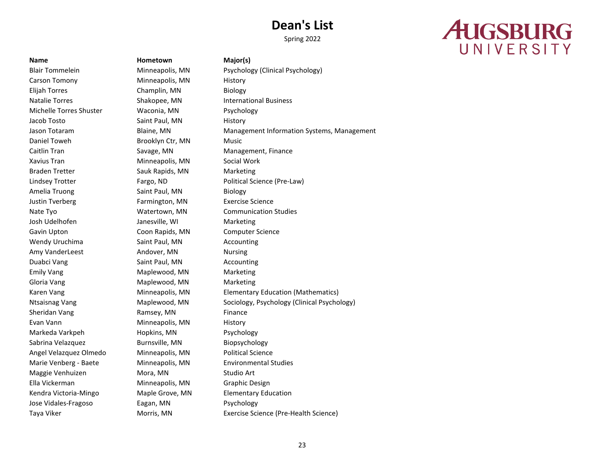# **AUGSBURG** UNIVERSITY

Carson Tomony **Minneapolis, MN** History Elijah Torres Champlin, MN Biology Natalie Torres Shakopee, MN International Business Michelle Torres Shuster Waconia, MN Psychology Jacob Tosto **Saint Paul, MN** History Daniel Toweh Brooklyn Ctr, MN Music Caitlin Tran **Savage, MN** Management, Finance Xavius Tran **Minneapolis, MN** Social Work Braden Tretter Sauk Rapids, MN Marketing Amelia Truong Saint Paul, MN Biology Justin Tverberg Farmington, MN Exercise Science Nate Tyo **Watertown, MN** Communication Studies Josh Udelhofen Janesville, WI Marketing Gavin Upton Coon Rapids, MN Computer Science Wendy Uruchima **Saint Paul, MN** Accounting Amy VanderLeest **Andover, MN** Nursing Duabci Vang Saint Paul, MN Accounting Emily Vang **Maplewood, MN** Marketing Gloria Vang Naplewood, MN Marketing Sheridan Vang **Ramsey, MN** Finance Evan Vann **Minneapolis, MN** History Markeda Varkpeh **Hopkins, MN** Psychology Sabrina Velazquez **Burnsville, MN** Biopsychology Angel Velazquez Olmedo Minneapolis, MN Political Science Marie Venberg - Baete Minneapolis, MN Environmental Studies Maggie Venhuizen Mora, MN Studio Art Ella Vickerman Minneapolis, MN Graphic Design Kendra Victoria-Mingo Maple Grove, MN Elementary Education Jose Vidales-Fragoso Eagan, MN Psychology

**Name Hometown Major(s)**

Blair Tommelein Minneapolis, MN Psychology (Clinical Psychology) Jason Totaram **Blaine, MN** Management Information Systems, Management Information Systems, Management Lindsey Trotter Fargo, ND Political Science (Pre-Law) Karen Vang **Minneapolis, MN** Elementary Education (Mathematics) Ntsaisnag Vang Maplewood, MN Sociology, Psychology (Clinical Psychology) Taya Viker **Morris, MN** Exercise Science (Pre-Health Science)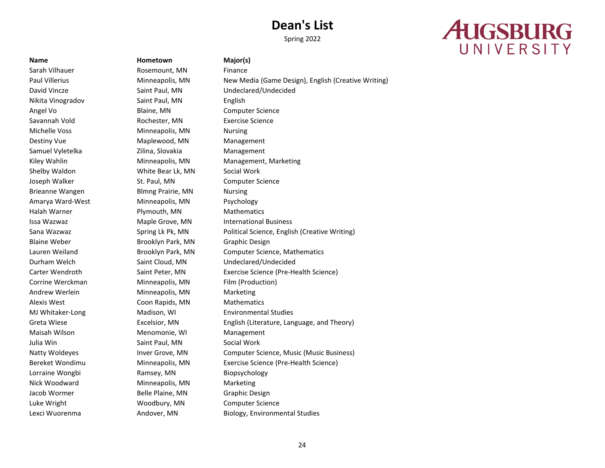Spring 2022

# **AUGSBURG** UNIVERSITY

Nikita Vinogradov Saint Paul, MN English Angel Vo **Blaine, MN** Computer Science Savannah Vold **Rochester, MN** Exercise Science Michelle Voss Minneapolis, MN Nursing Destiny Vue **Maplewood, MN** Management Samuel Vyletelka **Zilina, Slovakia** Management Shelby Waldon **White Bear Lk, MN** Social Work Joseph Walker St. Paul, MN Computer Science Brieanne Wangen Blmng Prairie, MN Nursing Amarya Ward-West Minneapolis, MN Psychology Halah Warner **Plymouth, MN** Mathematics Issa Wazwaz Maple Grove, MN International Business Blaine Weber **Brooklyn Park, MN** Graphic Design Corrine Werckman Minneapolis, MN Film (Production) Andrew Werlein Minneapolis, MN Marketing Alexis West **Coon Rapids, MN** Mathematics MJ Whitaker-Long Madison, WI Environmental Studies Maisah Wilson Menomonie, WI Management Julia Win **Saint Paul, MN** Social Work Lorraine Wongbi Ramsey, MN Biopsychology Nick Woodward Minneapolis, MN Marketing Jacob Wormer **Belle Plaine, MN** Graphic Design Luke Wright Woodbury, MN Computer Science

**Name Hometown Major(s)** Sarah Vilhauer **Rosemount, MN** Finance

Paul Villerius **Minneapolis, MN** New Media (Game Design), English (Creative Writing) David Vincze Saint Paul, MN Undeclared/Undecided Kiley Wahlin **Minneapolis, MN** Management, Marketing Sana Wazwaz Spring Lk Pk, MN Political Science, English (Creative Writing) Lauren Weiland Brooklyn Park, MN Computer Science, Mathematics Durham Welch Saint Cloud, MN Undeclared/Undecided Carter Wendroth Saint Peter, MN Exercise Science (Pre-Health Science) Greta Wiese **Excelsior, MN** English (Literature, Language, and Theory) Natty Woldeyes **Inver Grove, MN** Computer Science, Music (Music Business) Bereket Wondimu Minneapolis, MN Exercise Science (Pre-Health Science) Lexci Wuorenma **Andover, MN** Biology, Environmental Studies